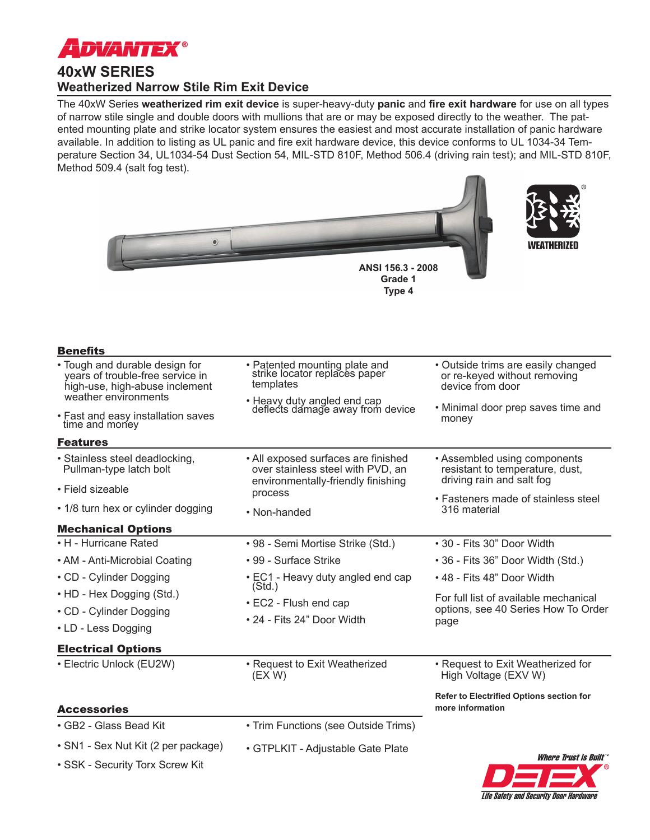

## **40xW SERIES Weatherized Narrow Stile Rim Exit Device**

The 40xW Series **weatherized rim exit device** is super-heavy-duty **panic** and **fire exit hardware** for use on all types of narrow stile single and double doors with mullions that are or may be exposed directly to the weather. The patented mounting plate and strike locator system ensures the easiest and most accurate installation of panic hardware available. In addition to listing as UL panic and fire exit hardware device, this device conforms to UL 1034-34 Temperature Section 34, UL1034-54 Dust Section 54, MIL-STD 810F, Method 506.4 (driving rain test); and MIL-STD 810F, Method 509.4 (salt fog test).

**Type 4**





| <b>Benefits</b>                                                                                      |                                                                                                                           |                                                                                              |
|------------------------------------------------------------------------------------------------------|---------------------------------------------------------------------------------------------------------------------------|----------------------------------------------------------------------------------------------|
| • Tough and durable design for<br>years of trouble-free service in<br>high-use, high-abuse inclement | • Patented mounting plate and<br>strike locator replaces paper<br>templates                                               | • Outside trims are easily changed<br>or re-keyed without removing<br>device from door       |
| weather environments                                                                                 | • Heavy duty angled end cap<br>deflects damage away from device                                                           | • Minimal door prep saves time and<br>money                                                  |
| • Fast and easy installation saves<br>time and money                                                 |                                                                                                                           |                                                                                              |
| <b>Features</b>                                                                                      |                                                                                                                           |                                                                                              |
| · Stainless steel deadlocking,<br>Pullman-type latch bolt                                            | • All exposed surfaces are finished<br>over stainless steel with PVD, an<br>environmentally-friendly finishing<br>process | • Assembled using components<br>resistant to temperature, dust,<br>driving rain and salt fog |
| • Field sizeable                                                                                     |                                                                                                                           |                                                                                              |
| • 1/8 turn hex or cylinder dogging                                                                   | • Non-handed                                                                                                              | • Fasteners made of stainless steel<br>316 material                                          |
| <b>Mechanical Options</b>                                                                            |                                                                                                                           |                                                                                              |
| • H - Hurricane Rated                                                                                | • 98 - Semi Mortise Strike (Std.)                                                                                         | • 30 - Fits 30" Door Width                                                                   |
| • AM - Anti-Microbial Coating                                                                        | • 99 - Surface Strike                                                                                                     | • 36 - Fits 36" Door Width (Std.)                                                            |
| • CD - Cylinder Dogging                                                                              | • EC1 - Heavy duty angled end cap<br>(Std.)                                                                               | • 48 - Fits 48" Door Width                                                                   |
| • HD - Hex Dogging (Std.)                                                                            | $\cdot$ EC2 - Flush end cap<br>• 24 - Fits 24" Door Width                                                                 | For full list of available mechanical<br>options, see 40 Series How To Order<br>page         |
| • CD - Cylinder Dogging                                                                              |                                                                                                                           |                                                                                              |
| • LD - Less Dogging                                                                                  |                                                                                                                           |                                                                                              |
| <b>Electrical Options</b>                                                                            |                                                                                                                           |                                                                                              |
| • Electric Unlock (EU2W)                                                                             | • Request to Exit Weatherized<br>(EX W)                                                                                   | • Request to Exit Weatherized for<br>High Voltage (EXV W)                                    |
|                                                                                                      |                                                                                                                           | Refer to Electrified Options section for                                                     |
| <b>Accessories</b>                                                                                   |                                                                                                                           | more information                                                                             |
| • GB2 - Glass Bead Kit                                                                               | • Trim Functions (see Outside Trims)                                                                                      |                                                                                              |
| • SN1 - Sex Nut Kit (2 per package)                                                                  | • GTPLKIT - Adiustable Gate Plate                                                                                         |                                                                                              |

• SSK - Security Torx Screw Kit

• GTPLKIT - Adjustable Gate Plate

Life Safety and Security Door Hardware Where Trust is Built